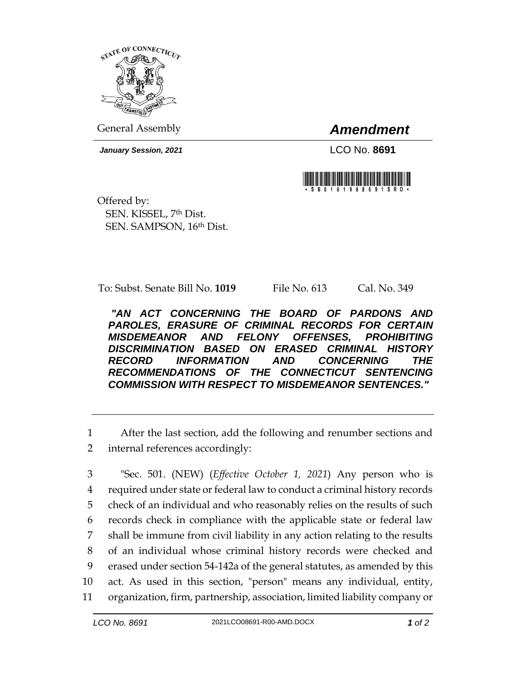

General Assembly *Amendment*

*January Session, 2021* LCO No. **8691**



Offered by: SEN. KISSEL, 7th Dist. SEN. SAMPSON, 16th Dist.

To: Subst. Senate Bill No. **1019** File No. 613 Cal. No. 349

*"AN ACT CONCERNING THE BOARD OF PARDONS AND PAROLES, ERASURE OF CRIMINAL RECORDS FOR CERTAIN MISDEMEANOR AND FELONY OFFENSES, PROHIBITING DISCRIMINATION BASED ON ERASED CRIMINAL HISTORY RECORD INFORMATION AND CONCERNING THE RECOMMENDATIONS OF THE CONNECTICUT SENTENCING COMMISSION WITH RESPECT TO MISDEMEANOR SENTENCES."* 

1 After the last section, add the following and renumber sections and

2 internal references accordingly:

 "Sec. 501. (NEW) (*Effective October 1, 2021*) Any person who is required under state or federal law to conduct a criminal history records check of an individual and who reasonably relies on the results of such records check in compliance with the applicable state or federal law shall be immune from civil liability in any action relating to the results of an individual whose criminal history records were checked and erased under section 54-142a of the general statutes, as amended by this act. As used in this section, "person" means any individual, entity, organization, firm, partnership, association, limited liability company or